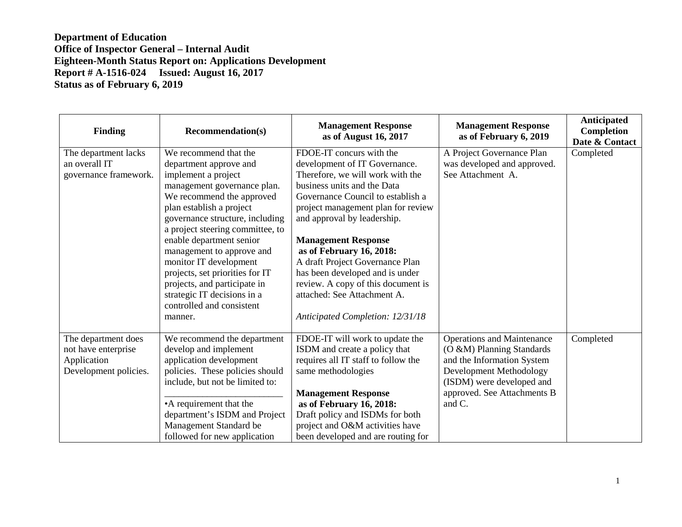| Finding                                                                            | <b>Recommendation(s)</b>                                                                                                                                                                                                                                                                                                                                                                                                                                           | <b>Management Response</b><br>as of August 16, 2017                                                                                                                                                                                                                                                                                                                                                                                                                             | <b>Management Response</b><br>as of February 6, 2019                                                                                                                                          | Anticipated<br>Completion<br>Date & Contact |
|------------------------------------------------------------------------------------|--------------------------------------------------------------------------------------------------------------------------------------------------------------------------------------------------------------------------------------------------------------------------------------------------------------------------------------------------------------------------------------------------------------------------------------------------------------------|---------------------------------------------------------------------------------------------------------------------------------------------------------------------------------------------------------------------------------------------------------------------------------------------------------------------------------------------------------------------------------------------------------------------------------------------------------------------------------|-----------------------------------------------------------------------------------------------------------------------------------------------------------------------------------------------|---------------------------------------------|
| The department lacks<br>an overall IT<br>governance framework.                     | We recommend that the<br>department approve and<br>implement a project<br>management governance plan.<br>We recommend the approved<br>plan establish a project<br>governance structure, including<br>a project steering committee, to<br>enable department senior<br>management to approve and<br>monitor IT development<br>projects, set priorities for IT<br>projects, and participate in<br>strategic IT decisions in a<br>controlled and consistent<br>manner. | FDOE-IT concurs with the<br>development of IT Governance.<br>Therefore, we will work with the<br>business units and the Data<br>Governance Council to establish a<br>project management plan for review<br>and approval by leadership.<br><b>Management Response</b><br>as of February 16, 2018:<br>A draft Project Governance Plan<br>has been developed and is under<br>review. A copy of this document is<br>attached: See Attachment A.<br>Anticipated Completion: 12/31/18 | A Project Governance Plan<br>was developed and approved.<br>See Attachment A.                                                                                                                 | Completed                                   |
| The department does<br>not have enterprise<br>Application<br>Development policies. | We recommend the department<br>develop and implement<br>application development<br>policies. These policies should<br>include, but not be limited to:<br>•A requirement that the<br>department's ISDM and Project<br>Management Standard be<br>followed for new application                                                                                                                                                                                        | FDOE-IT will work to update the<br>ISDM and create a policy that<br>requires all IT staff to follow the<br>same methodologies<br><b>Management Response</b><br>as of February 16, 2018:<br>Draft policy and ISDMs for both<br>project and O&M activities have<br>been developed and are routing for                                                                                                                                                                             | <b>Operations and Maintenance</b><br>(O &M) Planning Standards<br>and the Information System<br>Development Methodology<br>(ISDM) were developed and<br>approved. See Attachments B<br>and C. | Completed                                   |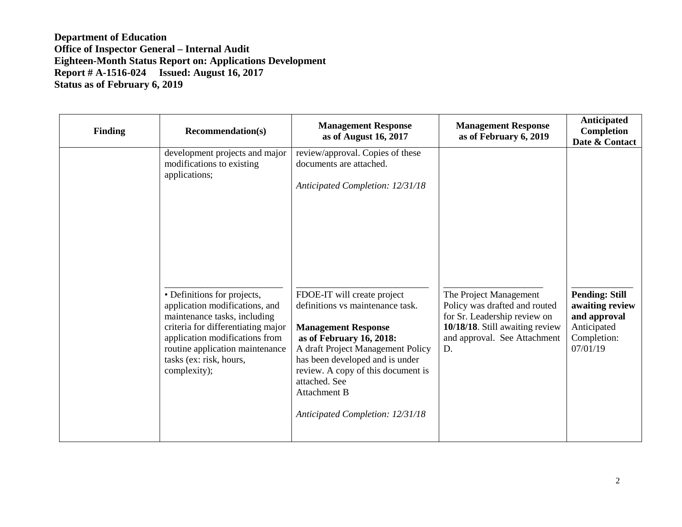| <b>Finding</b> | <b>Recommendation(s)</b>                                                                                                                                                                                                                            | <b>Management Response</b><br>as of August 16, 2017                                                                                                                                                                                                                                                                 | <b>Management Response</b><br>as of February 6, 2019                                                                                                             | Anticipated<br>Completion<br>Date & Contact                                                        |
|----------------|-----------------------------------------------------------------------------------------------------------------------------------------------------------------------------------------------------------------------------------------------------|---------------------------------------------------------------------------------------------------------------------------------------------------------------------------------------------------------------------------------------------------------------------------------------------------------------------|------------------------------------------------------------------------------------------------------------------------------------------------------------------|----------------------------------------------------------------------------------------------------|
|                | development projects and major<br>modifications to existing<br>applications;                                                                                                                                                                        | review/approval. Copies of these<br>documents are attached.<br>Anticipated Completion: 12/31/18                                                                                                                                                                                                                     |                                                                                                                                                                  |                                                                                                    |
|                | • Definitions for projects,<br>application modifications, and<br>maintenance tasks, including<br>criteria for differentiating major<br>application modifications from<br>routine application maintenance<br>tasks (ex: risk, hours,<br>complexity); | FDOE-IT will create project<br>definitions vs maintenance task.<br><b>Management Response</b><br>as of February 16, 2018:<br>A draft Project Management Policy<br>has been developed and is under<br>review. A copy of this document is<br>attached. See<br><b>Attachment B</b><br>Anticipated Completion: 12/31/18 | The Project Management<br>Policy was drafted and routed<br>for Sr. Leadership review on<br>10/18/18. Still awaiting review<br>and approval. See Attachment<br>D. | <b>Pending: Still</b><br>awaiting review<br>and approval<br>Anticipated<br>Completion:<br>07/01/19 |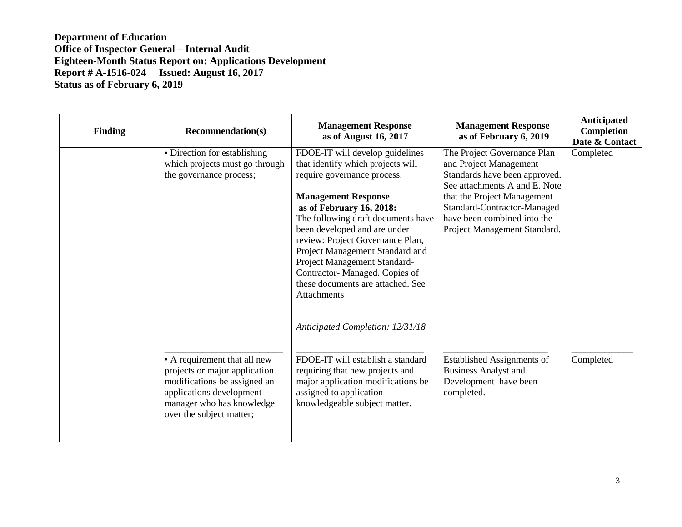| <b>Finding</b> | <b>Recommendation(s)</b>                                                                                                                                                           | <b>Management Response</b><br>as of August 16, 2017                                                                                                                                                                                                                                                                                                                                                                                    | <b>Management Response</b><br>as of February 6, 2019                                                                                                                                                                                                 | Anticipated<br>Completion<br>Date & Contact |
|----------------|------------------------------------------------------------------------------------------------------------------------------------------------------------------------------------|----------------------------------------------------------------------------------------------------------------------------------------------------------------------------------------------------------------------------------------------------------------------------------------------------------------------------------------------------------------------------------------------------------------------------------------|------------------------------------------------------------------------------------------------------------------------------------------------------------------------------------------------------------------------------------------------------|---------------------------------------------|
|                | • Direction for establishing<br>which projects must go through<br>the governance process;                                                                                          | FDOE-IT will develop guidelines<br>that identify which projects will<br>require governance process.<br><b>Management Response</b><br>as of February 16, 2018:<br>The following draft documents have<br>been developed and are under<br>review: Project Governance Plan,<br>Project Management Standard and<br>Project Management Standard-<br>Contractor-Managed. Copies of<br>these documents are attached. See<br><b>Attachments</b> | The Project Governance Plan<br>and Project Management<br>Standards have been approved.<br>See attachments A and E. Note<br>that the Project Management<br>Standard-Contractor-Managed<br>have been combined into the<br>Project Management Standard. | Completed                                   |
|                | • A requirement that all new<br>projects or major application<br>modifications be assigned an<br>applications development<br>manager who has knowledge<br>over the subject matter; | Anticipated Completion: 12/31/18<br>FDOE-IT will establish a standard<br>requiring that new projects and<br>major application modifications be<br>assigned to application<br>knowledgeable subject matter.                                                                                                                                                                                                                             | <b>Established Assignments of</b><br><b>Business Analyst and</b><br>Development have been<br>completed.                                                                                                                                              | Completed                                   |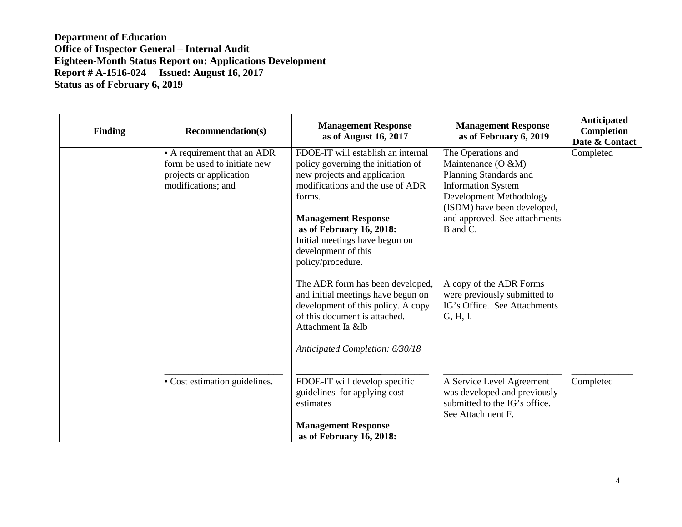| <b>Finding</b> | <b>Recommendation(s)</b>                                                                                     | <b>Management Response</b><br>as of August 16, 2017                                                                                                                                                                                                                                            | <b>Management Response</b><br>as of February 6, 2019                                                                                                                                                   | Anticipated<br>Completion<br>Date & Contact |
|----------------|--------------------------------------------------------------------------------------------------------------|------------------------------------------------------------------------------------------------------------------------------------------------------------------------------------------------------------------------------------------------------------------------------------------------|--------------------------------------------------------------------------------------------------------------------------------------------------------------------------------------------------------|---------------------------------------------|
|                | • A requirement that an ADR<br>form be used to initiate new<br>projects or application<br>modifications; and | FDOE-IT will establish an internal<br>policy governing the initiation of<br>new projects and application<br>modifications and the use of ADR<br>forms.<br><b>Management Response</b><br>as of February 16, 2018:<br>Initial meetings have begun on<br>development of this<br>policy/procedure. | The Operations and<br>Maintenance (O &M)<br>Planning Standards and<br><b>Information System</b><br>Development Methodology<br>(ISDM) have been developed,<br>and approved. See attachments<br>B and C. | Completed                                   |
|                |                                                                                                              | The ADR form has been developed,<br>and initial meetings have begun on<br>development of this policy. A copy<br>of this document is attached.<br>Attachment Ia &Ib<br>Anticipated Completion: 6/30/18                                                                                          | A copy of the ADR Forms<br>were previously submitted to<br>IG's Office. See Attachments<br>G, H, I.                                                                                                    |                                             |
|                | • Cost estimation guidelines.                                                                                | FDOE-IT will develop specific<br>guidelines for applying cost<br>estimates<br><b>Management Response</b><br>as of February 16, 2018:                                                                                                                                                           | A Service Level Agreement<br>was developed and previously<br>submitted to the IG's office.<br>See Attachment F.                                                                                        | Completed                                   |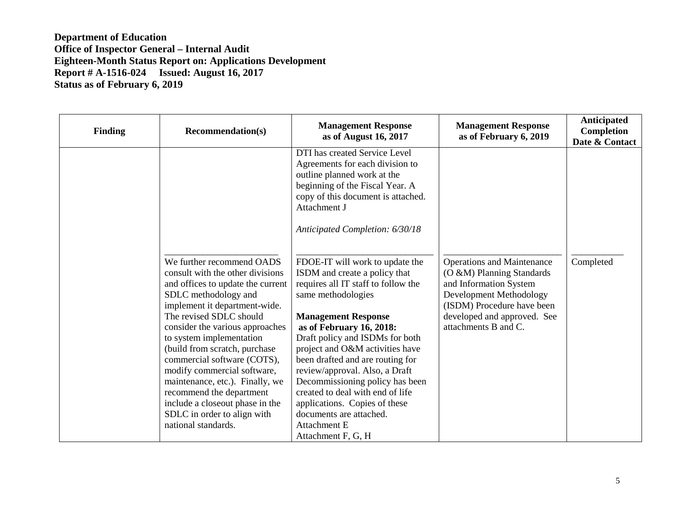| <b>Finding</b> | <b>Recommendation(s)</b>                                                                                                                                                                                                                                                                                                                                                                                                                                                                                     | <b>Management Response</b><br>as of August 16, 2017                                                                                                                                                                                                                                                                                                                                                                                                                                                          | <b>Management Response</b><br>as of February 6, 2019                                                                                                                                                     | Anticipated<br>Completion<br>Date & Contact |
|----------------|--------------------------------------------------------------------------------------------------------------------------------------------------------------------------------------------------------------------------------------------------------------------------------------------------------------------------------------------------------------------------------------------------------------------------------------------------------------------------------------------------------------|--------------------------------------------------------------------------------------------------------------------------------------------------------------------------------------------------------------------------------------------------------------------------------------------------------------------------------------------------------------------------------------------------------------------------------------------------------------------------------------------------------------|----------------------------------------------------------------------------------------------------------------------------------------------------------------------------------------------------------|---------------------------------------------|
|                |                                                                                                                                                                                                                                                                                                                                                                                                                                                                                                              | DTI has created Service Level<br>Agreements for each division to<br>outline planned work at the<br>beginning of the Fiscal Year. A<br>copy of this document is attached.<br>Attachment J<br>Anticipated Completion: 6/30/18                                                                                                                                                                                                                                                                                  |                                                                                                                                                                                                          |                                             |
|                | We further recommend OADS<br>consult with the other divisions<br>and offices to update the current<br>SDLC methodology and<br>implement it department-wide.<br>The revised SDLC should<br>consider the various approaches<br>to system implementation<br>(build from scratch, purchase<br>commercial software (COTS),<br>modify commercial software,<br>maintenance, etc.). Finally, we<br>recommend the department<br>include a closeout phase in the<br>SDLC in order to align with<br>national standards. | FDOE-IT will work to update the<br>ISDM and create a policy that<br>requires all IT staff to follow the<br>same methodologies<br><b>Management Response</b><br>as of February 16, 2018:<br>Draft policy and ISDMs for both<br>project and O&M activities have<br>been drafted and are routing for<br>review/approval. Also, a Draft<br>Decommissioning policy has been<br>created to deal with end of life<br>applications. Copies of these<br>documents are attached.<br>Attachment E<br>Attachment F, G, H | <b>Operations and Maintenance</b><br>(O &M) Planning Standards<br>and Information System<br>Development Methodology<br>(ISDM) Procedure have been<br>developed and approved. See<br>attachments B and C. | Completed                                   |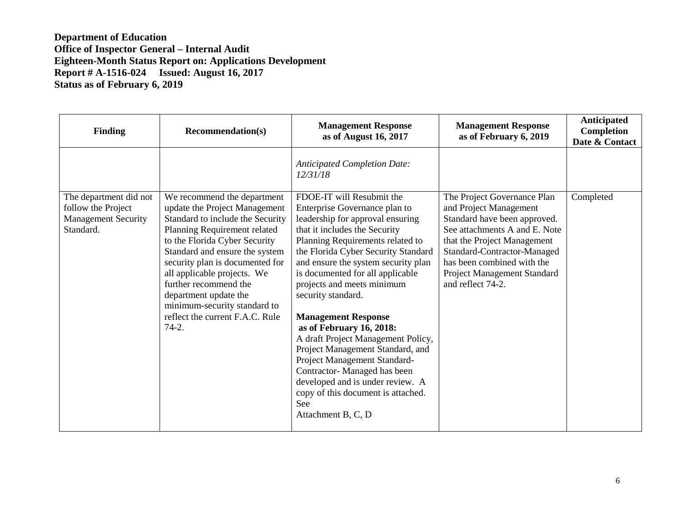| <b>Finding</b>                                                                          | <b>Recommendation(s)</b>                                                                                                                                                                                                                                                                                                                                                                              | <b>Management Response</b><br>as of August 16, 2017                                                                                                                                                                                                                                                                                                                                                                                                                                                                                                                                                                                                 | <b>Management Response</b><br>as of February 6, 2019                                                                                                                                                                                                                   | Anticipated<br>Completion<br>Date & Contact |
|-----------------------------------------------------------------------------------------|-------------------------------------------------------------------------------------------------------------------------------------------------------------------------------------------------------------------------------------------------------------------------------------------------------------------------------------------------------------------------------------------------------|-----------------------------------------------------------------------------------------------------------------------------------------------------------------------------------------------------------------------------------------------------------------------------------------------------------------------------------------------------------------------------------------------------------------------------------------------------------------------------------------------------------------------------------------------------------------------------------------------------------------------------------------------------|------------------------------------------------------------------------------------------------------------------------------------------------------------------------------------------------------------------------------------------------------------------------|---------------------------------------------|
|                                                                                         |                                                                                                                                                                                                                                                                                                                                                                                                       | <b>Anticipated Completion Date:</b><br>12/31/18                                                                                                                                                                                                                                                                                                                                                                                                                                                                                                                                                                                                     |                                                                                                                                                                                                                                                                        |                                             |
| The department did not<br>follow the Project<br><b>Management Security</b><br>Standard. | We recommend the department<br>update the Project Management<br>Standard to include the Security<br>Planning Requirement related<br>to the Florida Cyber Security<br>Standard and ensure the system<br>security plan is documented for<br>all applicable projects. We<br>further recommend the<br>department update the<br>minimum-security standard to<br>reflect the current F.A.C. Rule<br>$74-2.$ | FDOE-IT will Resubmit the<br>Enterprise Governance plan to<br>leadership for approval ensuring<br>that it includes the Security<br>Planning Requirements related to<br>the Florida Cyber Security Standard<br>and ensure the system security plan<br>is documented for all applicable<br>projects and meets minimum<br>security standard.<br><b>Management Response</b><br>as of February 16, 2018:<br>A draft Project Management Policy,<br>Project Management Standard, and<br>Project Management Standard-<br>Contractor-Managed has been<br>developed and is under review. A<br>copy of this document is attached.<br>See<br>Attachment B, C, D | The Project Governance Plan<br>and Project Management<br>Standard have been approved.<br>See attachments A and E. Note<br>that the Project Management<br>Standard-Contractor-Managed<br>has been combined with the<br>Project Management Standard<br>and reflect 74-2. | Completed                                   |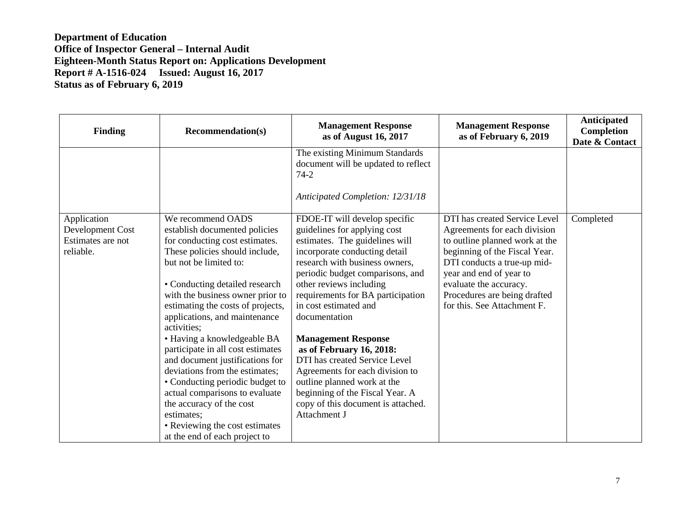| <b>Finding</b>                                                    | <b>Recommendation(s)</b>                                                                                                                                                                                                                                                                                                                                                                                                                                                                                                                                                                                                               | <b>Management Response</b><br>as of August 16, 2017                                                                                                                                                                                                                                                                                                                                                                                                                                                                                                                    | <b>Management Response</b><br>as of February 6, 2019                                                                                                                                                                                                                                | Anticipated<br>Completion<br>Date & Contact |
|-------------------------------------------------------------------|----------------------------------------------------------------------------------------------------------------------------------------------------------------------------------------------------------------------------------------------------------------------------------------------------------------------------------------------------------------------------------------------------------------------------------------------------------------------------------------------------------------------------------------------------------------------------------------------------------------------------------------|------------------------------------------------------------------------------------------------------------------------------------------------------------------------------------------------------------------------------------------------------------------------------------------------------------------------------------------------------------------------------------------------------------------------------------------------------------------------------------------------------------------------------------------------------------------------|-------------------------------------------------------------------------------------------------------------------------------------------------------------------------------------------------------------------------------------------------------------------------------------|---------------------------------------------|
|                                                                   |                                                                                                                                                                                                                                                                                                                                                                                                                                                                                                                                                                                                                                        | The existing Minimum Standards<br>document will be updated to reflect<br>$74-2$                                                                                                                                                                                                                                                                                                                                                                                                                                                                                        |                                                                                                                                                                                                                                                                                     |                                             |
|                                                                   |                                                                                                                                                                                                                                                                                                                                                                                                                                                                                                                                                                                                                                        | Anticipated Completion: 12/31/18                                                                                                                                                                                                                                                                                                                                                                                                                                                                                                                                       |                                                                                                                                                                                                                                                                                     |                                             |
| Application<br>Development Cost<br>Estimates are not<br>reliable. | We recommend OADS<br>establish documented policies<br>for conducting cost estimates.<br>These policies should include,<br>but not be limited to:<br>• Conducting detailed research<br>with the business owner prior to<br>estimating the costs of projects,<br>applications, and maintenance<br>activities;<br>• Having a knowledgeable BA<br>participate in all cost estimates<br>and document justifications for<br>deviations from the estimates;<br>• Conducting periodic budget to<br>actual comparisons to evaluate<br>the accuracy of the cost<br>estimates;<br>• Reviewing the cost estimates<br>at the end of each project to | FDOE-IT will develop specific<br>guidelines for applying cost<br>estimates. The guidelines will<br>incorporate conducting detail<br>research with business owners,<br>periodic budget comparisons, and<br>other reviews including<br>requirements for BA participation<br>in cost estimated and<br>documentation<br><b>Management Response</b><br>as of February 16, 2018:<br>DTI has created Service Level<br>Agreements for each division to<br>outline planned work at the<br>beginning of the Fiscal Year. A<br>copy of this document is attached.<br>Attachment J | DTI has created Service Level<br>Agreements for each division<br>to outline planned work at the<br>beginning of the Fiscal Year.<br>DTI conducts a true-up mid-<br>year and end of year to<br>evaluate the accuracy.<br>Procedures are being drafted<br>for this. See Attachment F. | Completed                                   |